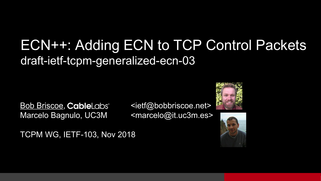#### ECN++: Adding ECN to TCP Control Packets draft-ietf-tcpm-generalized-ecn-03

Bob Briscoe, CableLabs <ietf@bobbriscoe.net> Marcelo Bagnulo, UC3M <marcelo@it.uc3m.es>





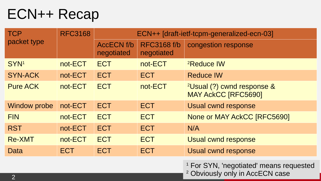#### ECN++ Recap

| <b>TCP</b><br>packet type | <b>RFC3168</b> | ECN++ [draft-ietf-tcpm-generalized-ecn-03] |                                  |                                                                                                  |
|---------------------------|----------------|--------------------------------------------|----------------------------------|--------------------------------------------------------------------------------------------------|
|                           |                | <b>AccECN f/b</b><br>negotiated            | <b>RFC3168 f/b</b><br>negotiated | congestion response                                                                              |
| SYN <sup>1</sup>          | not-ECT        | <b>ECT</b>                                 | not-ECT                          | <sup>2</sup> Reduce IW                                                                           |
| <b>SYN-ACK</b>            | not-ECT        | <b>ECT</b>                                 | <b>ECT</b>                       | <b>Reduce IW</b>                                                                                 |
| <b>Pure ACK</b>           | not-ECT        | <b>ECT</b>                                 | not-ECT                          | <sup>2</sup> Usual (?) cwnd response &<br><b>MAY AckCC [RFC5690]</b>                             |
| <b>Window probe</b>       | not-ECT        | <b>ECT</b>                                 | <b>ECT</b>                       | Usual cwnd response                                                                              |
| <b>FIN</b>                | not-ECT        | <b>ECT</b>                                 | <b>ECT</b>                       | None or MAY AckCC [RFC5690]                                                                      |
| <b>RST</b>                | not-ECT        | <b>ECT</b>                                 | <b>ECT</b>                       | N/A                                                                                              |
| <b>Re-XMT</b>             | not-ECT        | <b>ECT</b>                                 | <b>ECT</b>                       | <b>Usual cwnd response</b>                                                                       |
| Data                      | <b>ECT</b>     | <b>ECT</b>                                 | <b>ECT</b>                       | Usual cwnd response                                                                              |
| $\mathcal{D}$             |                |                                            |                                  | <sup>1</sup> For SYN, 'negotiated' means requested<br><sup>2</sup> Obviously only in AccECN case |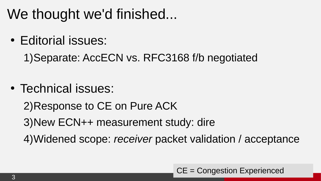# We thought we'd finished...

• Editorial issues:

1)Separate: AccECN vs. RFC3168 f/b negotiated

• Technical issues:

2)Response to CE on Pure ACK

3)New ECN++ measurement study: dire

4)Widened scope: *receiver* packet validation / acceptance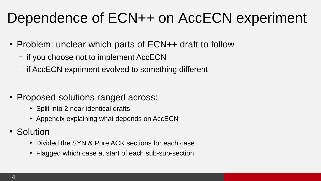# Dependence of ECN++ on AccECN experiment

- Problem: unclear which parts of ECN++ draft to follow
	- if you choose not to implement AccECN
	- if AccECN expriment evolved to something different

- Proposed solutions ranged across:
	- Split into 2 near-identical drafts
	- Appendix explaining what depends on AccECN
- Solution
	- Divided the SYN & Pure ACK sections for each case
	- Flagged which case at start of each sub-sub-section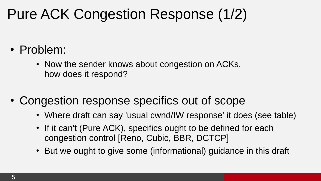# Pure ACK Congestion Response (1/2)

- Problem:
	- Now the sender knows about congestion on ACKs, how does it respond?
- Congestion response specifics out of scope
	- Where draft can say 'usual cwnd/IW response' it does (see table)
	- If it can't (Pure ACK), specifics ought to be defined for each congestion control [Reno, Cubic, BBR, DCTCP]
	- But we ought to give some (informational) guidance in this draft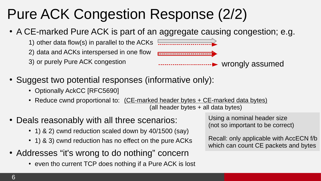# Pure ACK Congestion Response (2/2)

• A CE-marked Pure ACK is part of an aggregate causing congestion; e.g.

1) other data flow(s) in parallel to the ACKs [................................. 2) data and ACKs interspersed in one flow

3) or purely Pure ACK congestion



wrongly assumed

- Suggest two potential responses (informative only):
	- Optionally AckCC [RFC5690]
	- Reduce cwnd proportional to: (CE-marked header bytes + CE-marked data bytes) (all header bytes + all data bytes)
- Deals reasonably with all three scenarios:
	- $\cdot$  1) & 2) cwnd reduction scaled down by 40/1500 (say)
	- 1) & 3) cwnd reduction has no effect on the pure ACKs
- Addresses "it's wrong to do nothing" concern
	- even tho current TCP does nothing if a Pure ACK is lost

Using a nominal header size (not so important to be correct)

Recall: only applicable with AccECN f/b which can count CE packets and bytes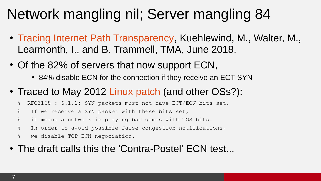# Network mangling nil; Server mangling 84

- [Tracing Internet Path Transparency](http://tma.ifip.org/2018/wp-content/uploads/sites/3/2018/06/tma2018_paper12.pdf), Kuehlewind, M., Walter, M., Learmonth, I., and B. Trammell, TMA, June 2018.
- Of the 82% of servers that now support ECN,
	- 84% disable ECN for the connection if they receive an ECT SYN
- Traced to May 2012 [Linux patch](https://github.com/torvalds/linux/commit/bd14b1b2e29bd6812597f896dde06eaf7c6d2f24#diff-5c7c60ed5f9efb6bce97ff5233f17282) (and other OSs?):
	- % RFC3168 : 6.1.1: SYN packets must not have ECT/ECN bits set.
	- % If we receive a SYN packet with these bits set,
	- % it means a network is playing bad games with TOS bits.
	- % In order to avoid possible false congestion notifications,
	- % we disable TCP ECN negociation.
- The draft calls this the 'Contra-Postel' ECN test...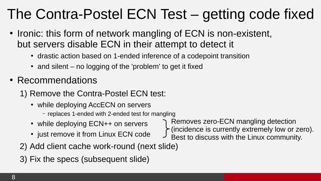# The Contra-Postel ECN Test – getting code fixed

- Ironic: this form of network mangling of ECN is non-existent, but servers disable ECN in their attempt to detect it
	- drastic action based on 1-ended inference of a codepoint transition
	- $\bullet$  and silent no logging of the 'problem' to get it fixed
- Recommendations
	- 1) Remove the Contra-Postel ECN test:
		- while deploying AccECN on servers
			- replaces 1-ended with 2-ended test for mangling
		- while deploying  $ECN++$  on servers
		- just remove it from Linux ECN code
- Removes zero-ECN mangling detection
- (incidence is currently extremely low or zero).
- Best to discuss with the Linux community.
- 2) Add client cache work-round (next slide)
- 3) Fix the specs (subsequent slide)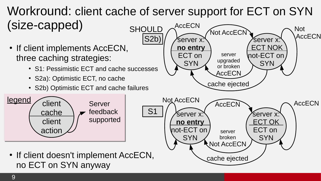#### Workround: client cache of server support for ECT on SYN (size-capped) AccECN  $\widehat{\mathsf{Not} \, \mathsf{AccECN}}$   $\widehat{\phantom{max}}$ **SHOULD**

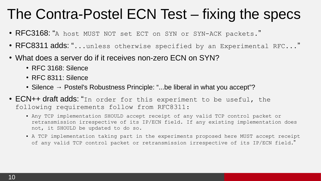#### The Contra-Postel ECN Test – fixing the specs

- RFC3168: "A host MUST NOT set ECT on SYN or SYN-ACK packets."
- RFC8311 adds: "...unless otherwise specified by an Experimental RFC..."
- What does a server do if it receives non-zero ECN on SYN?
	- $\cdot$  RFC 3168; Silence
	- RFC 8311: Silence
	- Silence  $\rightarrow$  Postel's Robustness Principle: "...be liberal in what you accept"?
- ECN++ draft adds: "In order for this experiment to be useful, the following requirements follow from RFC8311:
	- Any TCP implementation SHOULD accept receipt of any valid TCP control packet or retransmission irrespective of its IP/ECN field. If any existing implementation does not, it SHOULD be updated to do so.
	- A TCP implementation taking part in the experiments proposed here MUST accept receipt of any valid TCP control packet or retransmission irrespective of its IP/ECN field."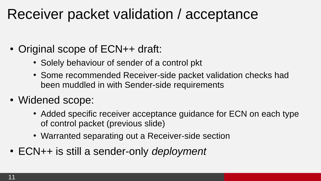#### Receiver packet validation / acceptance

- Original scope of ECN++ draft:
	- Solely behaviour of sender of a control pkt
	- Some recommended Receiver-side packet validation checks had been muddled in with Sender-side requirements
- Widened scope:
	- Added specific receiver acceptance guidance for ECN on each type of control packet (previous slide)
	- Warranted separating out a Receiver-side section
- ECN++ is still a sender-only *deployment*